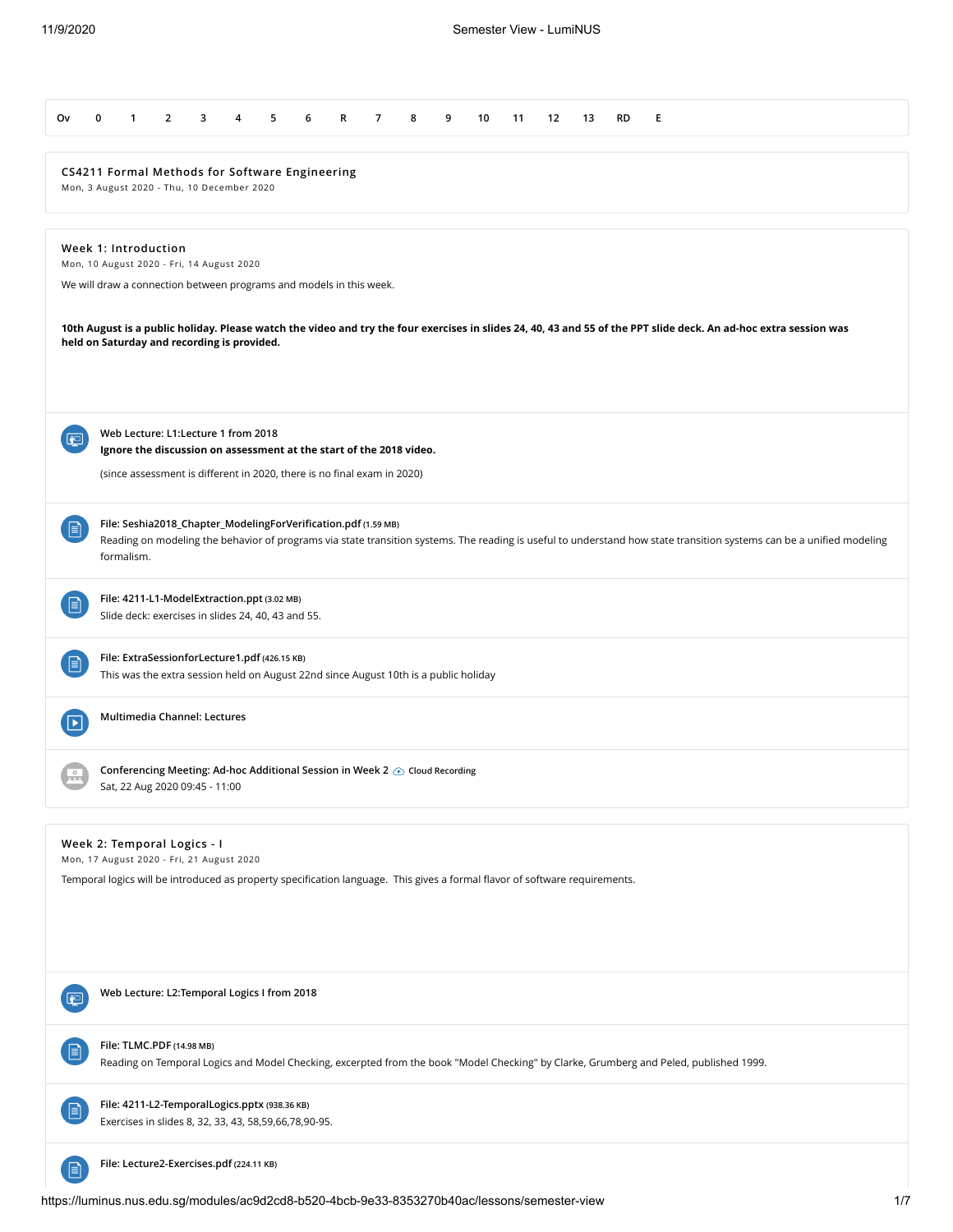| 0<br>$\overline{2}$<br>3<br>$\overline{7}$<br>9<br>Е<br>O۷<br>1<br>4<br>5<br>6<br>R<br>8<br>10<br>11<br>12<br>13<br>RD                                                                                                                                     |  |
|------------------------------------------------------------------------------------------------------------------------------------------------------------------------------------------------------------------------------------------------------------|--|
| CS4211 Formal Methods for Software Engineering<br>Mon, 3 August 2020 - Thu, 10 December 2020                                                                                                                                                               |  |
| Week 1: Introduction<br>Mon, 10 August 2020 - Fri, 14 August 2020<br>We will draw a connection between programs and models in this week.                                                                                                                   |  |
| 10th August is a public holiday. Please watch the video and try the four exercises in slides 24, 40, 43 and 55 of the PPT slide deck. An ad-hoc extra session was<br>held on Saturday and recording is provided.                                           |  |
| Web Lecture: L1:Lecture 1 from 2018<br>لتفا<br>Ignore the discussion on assessment at the start of the 2018 video.<br>(since assessment is different in 2020, there is no final exam in 2020)                                                              |  |
| File: Seshia2018_Chapter_ModelingForVerification.pdf (1.59 MB)<br>Ħ<br>Reading on modeling the behavior of programs via state transition systems. The reading is useful to understand how state transition systems can be a unified modeling<br>formalism. |  |
| File: 4211-L1-ModelExtraction.ppt (3.02 MB)<br>目<br>Slide deck: exercises in slides 24, 40, 43 and 55.                                                                                                                                                     |  |
| File: ExtraSessionforLecture1.pdf (426.15 KB)<br>e<br>This was the extra session held on August 22nd since August 10th is a public holiday                                                                                                                 |  |
| Multimedia Channel: Lectures<br>$\boxed{\blacktriangleright}$                                                                                                                                                                                              |  |
| Conferencing Meeting: Ad-hoc Additional Session in Week 2 企 Cloud Recording<br>Sat, 22 Aug 2020 09:45 - 11:00                                                                                                                                              |  |
| Week 2: Temporal Logics - I<br>Mon, 17 August 2020 - Fri, 21 August 2020                                                                                                                                                                                   |  |
| Temporal logics will be introduced as property specification language. This gives a formal flavor of software requirements.                                                                                                                                |  |
| Web Lecture: L2:Temporal Logics I from 2018<br>œ                                                                                                                                                                                                           |  |
| File: TLMC.PDF (14.98 MB)<br>目<br>Reading on Temporal Logics and Model Checking, excerpted from the book "Model Checking" by Clarke, Grumberg and Peled, published 1999.                                                                                   |  |
| File: 4211-L2-TemporalLogics.pptx (938.36 KB)<br>$\Box$<br>Exercises in slides 8, 32, 33, 43, 58,59,66,78,90-95.                                                                                                                                           |  |
| File: Lecture2-Exercises.pdf (224.11 KB)<br>$\boxminus$                                                                                                                                                                                                    |  |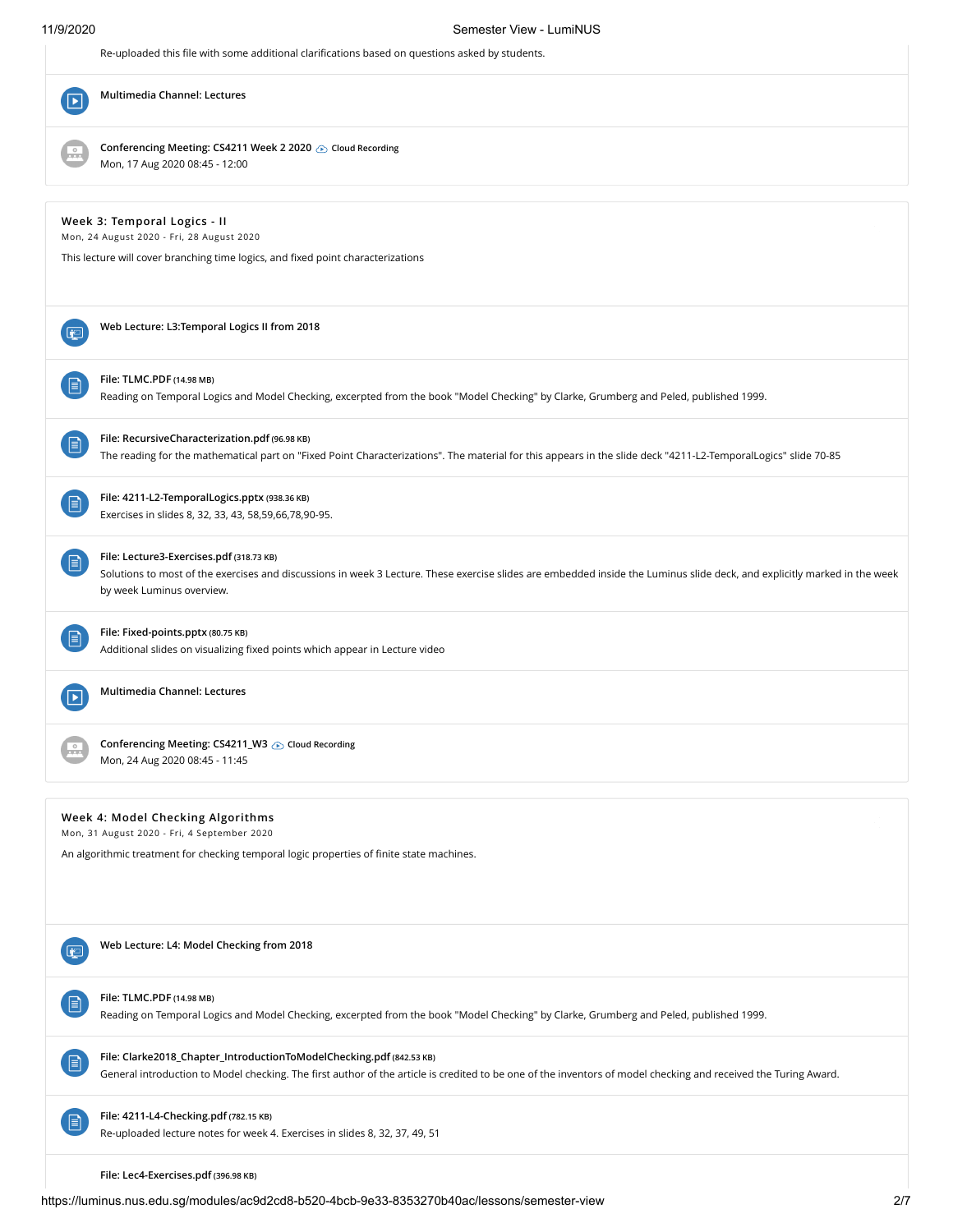| 11/9/2020                      | Semester View - LumiNUS                                                                                                                                                                                                                            |
|--------------------------------|----------------------------------------------------------------------------------------------------------------------------------------------------------------------------------------------------------------------------------------------------|
|                                | Re-uploaded this file with some additional clarifications based on questions asked by students.                                                                                                                                                    |
| $\blacktriangleright$ $\vdash$ | Multimedia Channel: Lectures                                                                                                                                                                                                                       |
|                                | Conferencing Meeting: CS4211 Week 2 2020 is Cloud Recording<br>Mon, 17 Aug 2020 08:45 - 12:00                                                                                                                                                      |
|                                | Week 3: Temporal Logics - II<br>Mon, 24 August 2020 - Fri, 28 August 2020<br>This lecture will cover branching time logics, and fixed point characterizations                                                                                      |
| 袒                              | Web Lecture: L3:Temporal Logics II from 2018                                                                                                                                                                                                       |
| 目                              | File: TLMC.PDF (14.98 MB)<br>Reading on Temporal Logics and Model Checking, excerpted from the book "Model Checking" by Clarke, Grumberg and Peled, published 1999.                                                                                |
| ▤                              | File: RecursiveCharacterization.pdf (96.98 KB)<br>The reading for the mathematical part on "Fixed Point Characterizations". The material for this appears in the slide deck "4211-L2-TemporalLogics" slide 70-85                                   |
| 目                              | File: 4211-L2-TemporalLogics.pptx (938.36 KB)<br>Exercises in slides 8, 32, 33, 43, 58,59,66,78,90-95.                                                                                                                                             |
| 目                              | File: Lecture3-Exercises.pdf (318.73 KB)<br>Solutions to most of the exercises and discussions in week 3 Lecture. These exercise slides are embedded inside the Luminus slide deck, and explicitly marked in the week<br>by week Luminus overview. |
| 间                              | File: Fixed-points.pptx (80.75 KB)<br>Additional slides on visualizing fixed points which appear in Lecture video                                                                                                                                  |
|                                | Multimedia Channel: Lectures                                                                                                                                                                                                                       |
|                                | Conferencing Meeting: CS4211_W3 @ Cloud Recording<br>Mon, 24 Aug 2020 08:45 - 11:45                                                                                                                                                                |
|                                | Week 4: Model Checking Algorithms<br>Mon, 31 August 2020 - Fri, 4 September 2020<br>An algorithmic treatment for checking temporal logic properties of finite state machines.                                                                      |
| ا تغا                          | Web Lecture: L4: Model Checking from 2018                                                                                                                                                                                                          |
| l≡ì                            | File: TLMC.PDF (14.98 MB)<br>Reading on Temporal Logics and Model Checking, excerpted from the book "Model Checking" by Clarke, Grumberg and Peled, published 1999.                                                                                |
| 目                              | File: Clarke2018_Chapter_IntroductionToModelChecking.pdf (842.53 KB)<br>General introduction to Model checking. The first author of the article is credited to be one of the inventors of model checking and received the Turing Award.            |
|                                | File: 4211-L4-Checking.pdf (782.15 KB)<br>Re-uploaded lecture notes for week 4. Exercises in slides 8, 32, 37, 49, 51                                                                                                                              |
|                                | File: Lec4-Exercises.pdf (396.98 KB)                                                                                                                                                                                                               |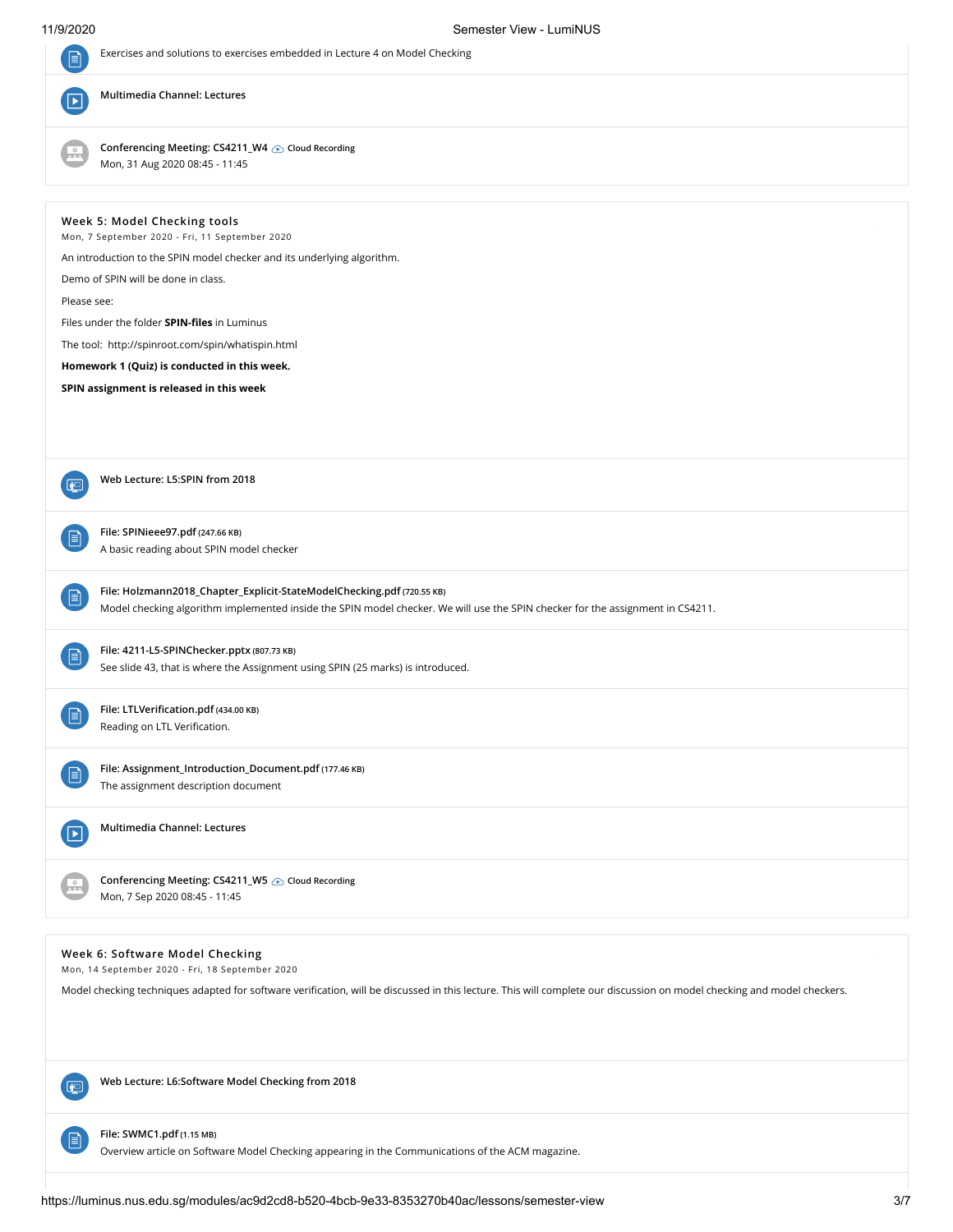| $\mathbf{F}$          | Exercises and solutions to exercises embedded in Lecture 4 on Model Checking                                                                                            |
|-----------------------|-------------------------------------------------------------------------------------------------------------------------------------------------------------------------|
| $\blacktriangleright$ | Multimedia Channel: Lectures                                                                                                                                            |
| $\frac{0}{2}$         | Conferencing Meeting: CS4211_W4 Cloud Recording<br>Mon, 31 Aug 2020 08:45 - 11:45                                                                                       |
|                       | Week 5: Model Checking tools<br>Mon, 7 September 2020 - Fri, 11 September 2020                                                                                          |
|                       | An introduction to the SPIN model checker and its underlying algorithm.                                                                                                 |
|                       | Demo of SPIN will be done in class.                                                                                                                                     |
| Please see:           |                                                                                                                                                                         |
|                       | Files under the folder <b>SPIN-files</b> in Luminus                                                                                                                     |
|                       | The tool: http://spinroot.com/spin/whatispin.html                                                                                                                       |
|                       | Homework 1 (Quiz) is conducted in this week.                                                                                                                            |
|                       | SPIN assignment is released in this week                                                                                                                                |
|                       |                                                                                                                                                                         |
|                       |                                                                                                                                                                         |
|                       |                                                                                                                                                                         |
|                       | Web Lecture: L5:SPIN from 2018                                                                                                                                          |
| 0                     |                                                                                                                                                                         |
|                       |                                                                                                                                                                         |
| B                     | File: SPINieee97.pdf (247.66 KB)<br>A basic reading about SPIN model checker                                                                                            |
|                       |                                                                                                                                                                         |
|                       | File: Holzmann2018_Chapter_Explicit-StateModelChecking.pdf (720.55 KB)                                                                                                  |
| $\mathbf{E}$          | Model checking algorithm implemented inside the SPIN model checker. We will use the SPIN checker for the assignment in CS4211.                                          |
|                       |                                                                                                                                                                         |
| 目                     | File: 4211-L5-SPINChecker.pptx (807.73 KB)                                                                                                                              |
|                       | See slide 43, that is where the Assignment using SPIN (25 marks) is introduced.                                                                                         |
|                       |                                                                                                                                                                         |
| $\mathbf{r}$          | File: LTLVerification.pdf (434.00 KB)<br>Reading on LTL Verification.                                                                                                   |
|                       |                                                                                                                                                                         |
|                       | File: Assignment_Introduction_Document.pdf (177.46 KB)                                                                                                                  |
| 目                     | The assignment description document                                                                                                                                     |
|                       |                                                                                                                                                                         |
| Þ                     | Multimedia Channel: Lectures                                                                                                                                            |
|                       |                                                                                                                                                                         |
|                       | Conferencing Meeting: CS4211_W5  Cloud Recording                                                                                                                        |
|                       | Mon, 7 Sep 2020 08:45 - 11:45                                                                                                                                           |
|                       |                                                                                                                                                                         |
|                       |                                                                                                                                                                         |
|                       | Week 6: Software Model Checking<br>Mon, 14 September 2020 - Fri, 18 September 2020                                                                                      |
|                       | Model checking techniques adapted for software verification, will be discussed in this lecture. This will complete our discussion on model checking and model checkers. |
|                       |                                                                                                                                                                         |
|                       |                                                                                                                                                                         |
|                       |                                                                                                                                                                         |
|                       |                                                                                                                                                                         |
| اتغا                  | Web Lecture: L6:Software Model Checking from 2018                                                                                                                       |

Overview article on Software Model Checking appearing in the Communications of the ACM magazine.

**File: SWMC1.pdf (1.15 MB)**

**日**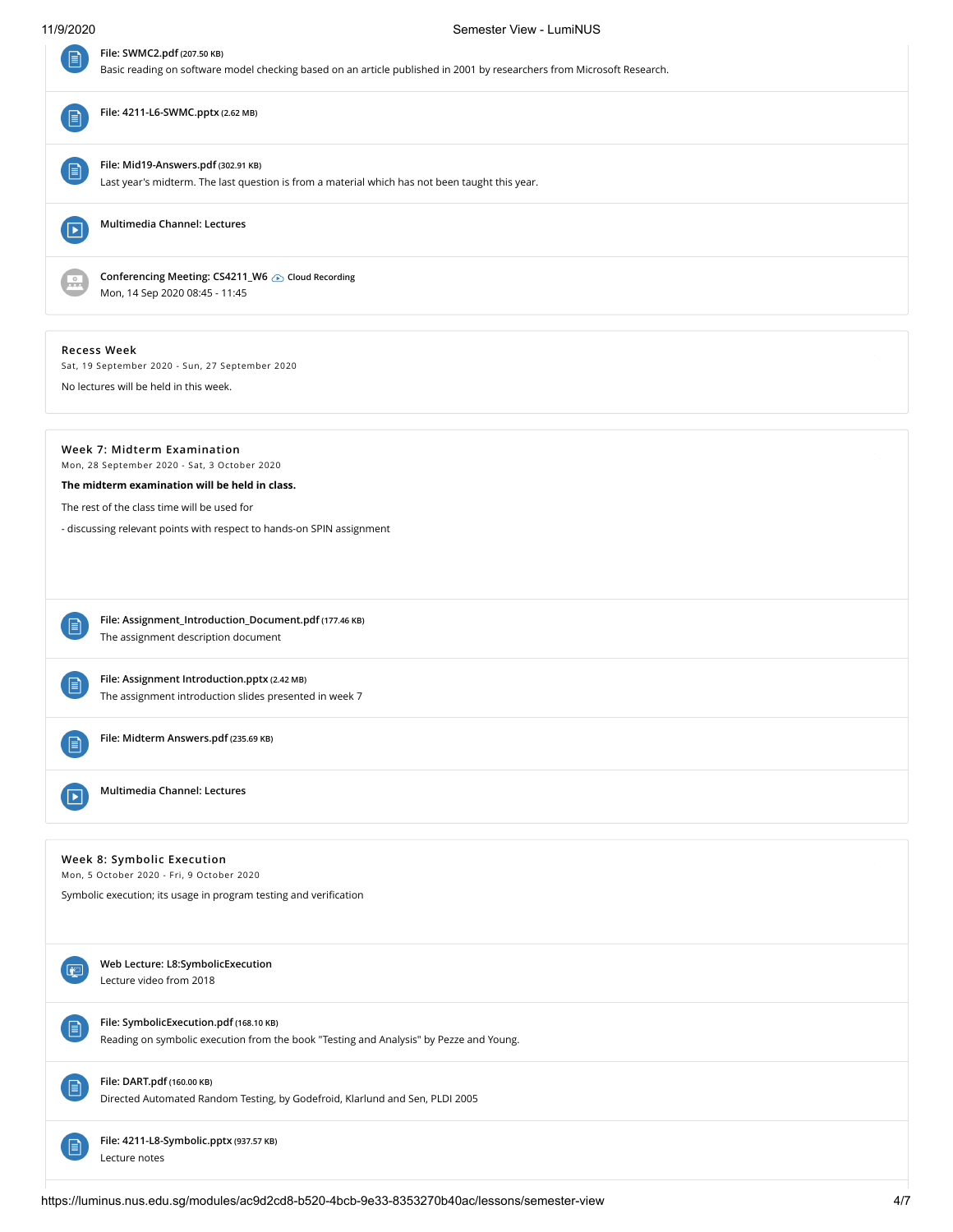# 11/9/2020 Semester View - LumiNUS

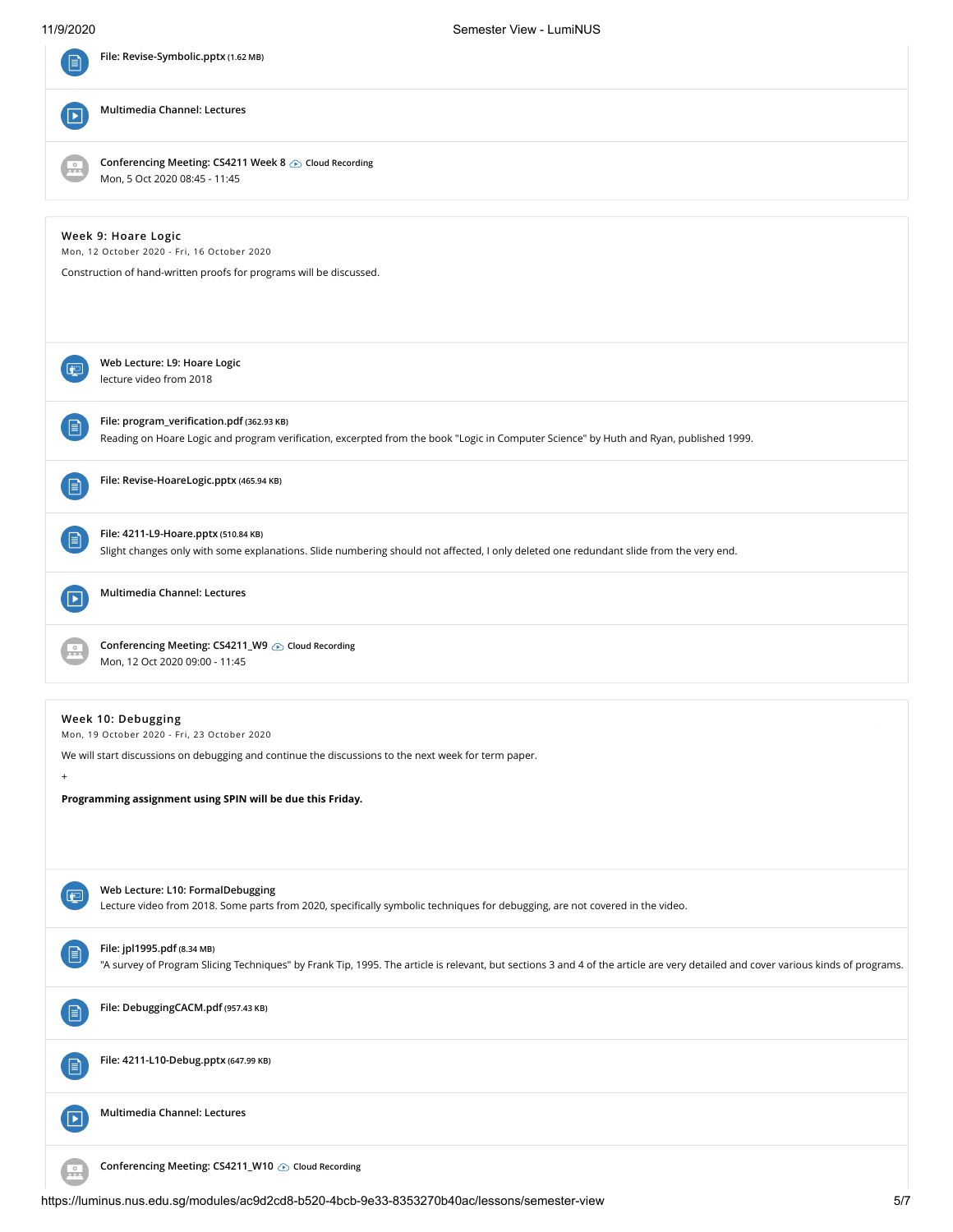| File: Revise-Symbolic.pptx (1.62 MB)                                                                                                                                                                                                                                        |
|-----------------------------------------------------------------------------------------------------------------------------------------------------------------------------------------------------------------------------------------------------------------------------|
| Multimedia Channel: Lectures                                                                                                                                                                                                                                                |
| Conferencing Meeting: CS4211 Week 8 6 Cloud Recording<br>Mon, 5 Oct 2020 08:45 - 11:45                                                                                                                                                                                      |
| Week 9: Hoare Logic<br>Mon, 12 October 2020 - Fri, 16 October 2020<br>Construction of hand-written proofs for programs will be discussed.                                                                                                                                   |
| Web Lecture: L9: Hoare Logic<br>انتها<br>lecture video from 2018                                                                                                                                                                                                            |
| File: program_verification.pdf (362.93 KB)<br>$\boxminus$<br>Reading on Hoare Logic and program verification, excerpted from the book "Logic in Computer Science" by Huth and Ryan, published 1999.                                                                         |
| File: Revise-HoareLogic.pptx (465.94 KB)<br>Ħ                                                                                                                                                                                                                               |
| File: 4211-L9-Hoare.pptx (510.84 KB)<br>$\boxminus$<br>Slight changes only with some explanations. Slide numbering should not affected, I only deleted one redundant slide from the very end.                                                                               |
| Multimedia Channel: Lectures                                                                                                                                                                                                                                                |
| Conferencing Meeting: CS4211_W9 B Cloud Recording<br>Mon, 12 Oct 2020 09:00 - 11:45                                                                                                                                                                                         |
| Week 10: Debugging<br>Mon, 19 October 2020 - Fri, 23 October 2020<br>We will start discussions on debugging and continue the discussions to the next week for term paper.<br>$\begin{array}{c} + \end{array}$<br>Programming assignment using SPIN will be due this Friday. |
| Web Lecture: L10: FormalDebugging<br>回<br>Lecture video from 2018. Some parts from 2020, specifically symbolic techniques for debugging, are not covered in the video.                                                                                                      |
| File: jpl1995.pdf (8.34 MB)<br>目<br>"A survey of Program Slicing Techniques" by Frank Tip, 1995. The article is relevant, but sections 3 and 4 of the article are very detailed and cover various kinds of programs.                                                        |
| File: DebuggingCACM.pdf (957.43 KB)<br>$\boxminus$                                                                                                                                                                                                                          |
| File: 4211-L10-Debug.pptx (647.99 KB)<br>B                                                                                                                                                                                                                                  |
| Multimedia Channel: Lectures<br>$\boxed{\mathbf{E}}$                                                                                                                                                                                                                        |
| Conferencing Meeting: CS4211_W10 > Cloud Recording<br>$\frac{0}{2}$                                                                                                                                                                                                         |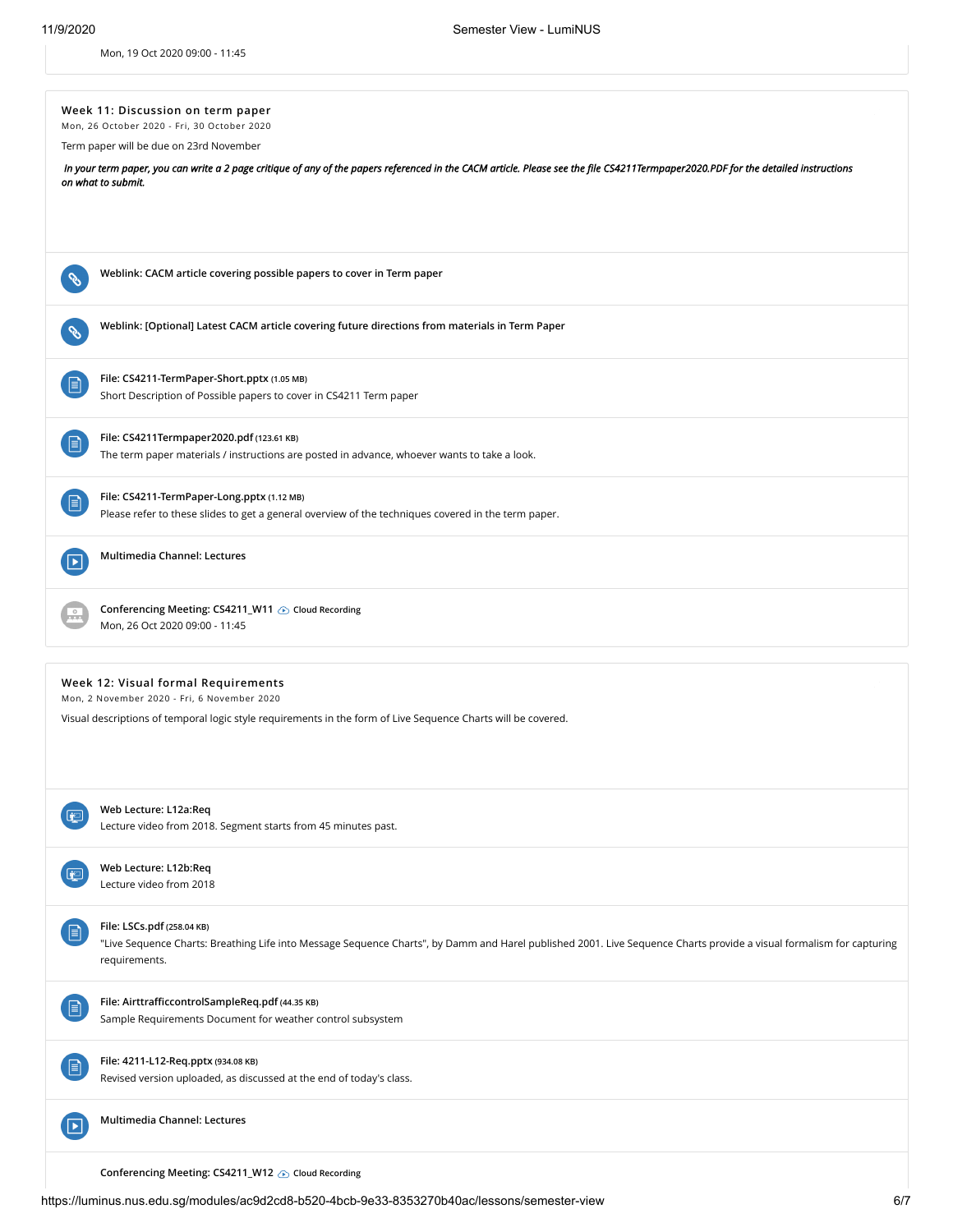Mon, 19 Oct 2020 09:00 - 11:45

|    | Week 11: Discussion on term paper                                                                                                                                                                         |
|----|-----------------------------------------------------------------------------------------------------------------------------------------------------------------------------------------------------------|
|    | Mon, 26 October 2020 - Fri, 30 October 2020                                                                                                                                                               |
|    | Term paper will be due on 23rd November                                                                                                                                                                   |
|    | In your term paper, you can write a 2 page critique of any of the papers referenced in the CACM article. Please see the file CS4211 Termpaper2020.PDF for the detailed instructions<br>on what to submit. |
|    |                                                                                                                                                                                                           |
|    |                                                                                                                                                                                                           |
|    |                                                                                                                                                                                                           |
|    |                                                                                                                                                                                                           |
|    | Weblink: CACM article covering possible papers to cover in Term paper                                                                                                                                     |
|    |                                                                                                                                                                                                           |
|    | Weblink: [Optional] Latest CACM article covering future directions from materials in Term Paper                                                                                                           |
|    |                                                                                                                                                                                                           |
|    |                                                                                                                                                                                                           |
| Ħ  | File: CS4211-TermPaper-Short.pptx (1.05 MB)                                                                                                                                                               |
|    | Short Description of Possible papers to cover in CS4211 Term paper                                                                                                                                        |
|    |                                                                                                                                                                                                           |
| 目  | File: CS4211Termpaper2020.pdf (123.61 KB)                                                                                                                                                                 |
|    | The term paper materials / instructions are posted in advance, whoever wants to take a look.                                                                                                              |
|    |                                                                                                                                                                                                           |
|    | File: CS4211-TermPaper-Long.pptx (1.12 MB)                                                                                                                                                                |
|    | Please refer to these slides to get a general overview of the techniques covered in the term paper.                                                                                                       |
|    |                                                                                                                                                                                                           |
|    | Multimedia Channel: Lectures                                                                                                                                                                              |
|    |                                                                                                                                                                                                           |
|    |                                                                                                                                                                                                           |
|    | Conferencing Meeting: CS4211_W11  Cloud Recording                                                                                                                                                         |
|    | Mon, 26 Oct 2020 09:00 - 11:45                                                                                                                                                                            |
|    |                                                                                                                                                                                                           |
|    | Week 12: Visual formal Requirements                                                                                                                                                                       |
|    | Mon, 2 November 2020 - Fri, 6 November 2020                                                                                                                                                               |
|    | Visual descriptions of temporal logic style requirements in the form of Live Sequence Charts will be covered.                                                                                             |
|    |                                                                                                                                                                                                           |
|    |                                                                                                                                                                                                           |
|    |                                                                                                                                                                                                           |
|    |                                                                                                                                                                                                           |
|    | Web Lecture: L12a:Req                                                                                                                                                                                     |
|    | Lecture video from 2018. Segment starts from 45 minutes past.                                                                                                                                             |
|    |                                                                                                                                                                                                           |
|    | Web Lecture: L12b:Req<br>Lecture video from 2018                                                                                                                                                          |
|    |                                                                                                                                                                                                           |
|    |                                                                                                                                                                                                           |
|    | File: LSCs.pdf (258.04 KB)<br>"Live Sequence Charts: Breathing Life into Message Sequence Charts", by Damm and Harel published 2001. Live Sequence Charts provide a visual formalism for capturing        |
|    | requirements.                                                                                                                                                                                             |
|    |                                                                                                                                                                                                           |
|    |                                                                                                                                                                                                           |
| 目  | File: AirttrafficcontrolSampleReq.pdf (44.35 KB)<br>Sample Requirements Document for weather control subsystem                                                                                            |
|    |                                                                                                                                                                                                           |
|    |                                                                                                                                                                                                           |
| FI | File: 4211-L12-Req.pptx (934.08 KB)                                                                                                                                                                       |
|    | Revised version uploaded, as discussed at the end of today's class.                                                                                                                                       |
|    |                                                                                                                                                                                                           |
|    | Multimedia Channel: Lectures                                                                                                                                                                              |
|    |                                                                                                                                                                                                           |
|    |                                                                                                                                                                                                           |
|    | Conferencing Meeting: CS4211_W12 cloud Recording                                                                                                                                                          |